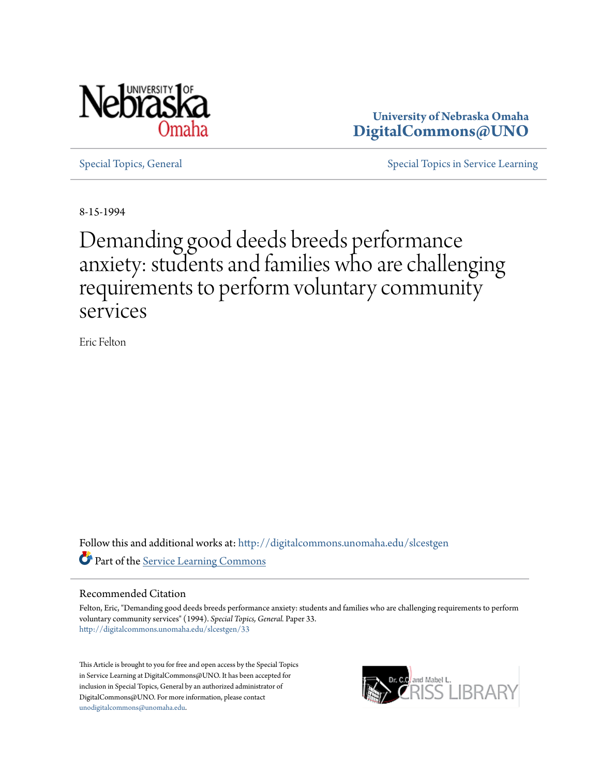

**University of Nebraska Omaha [DigitalCommons@UNO](http://digitalcommons.unomaha.edu?utm_source=digitalcommons.unomaha.edu%2Fslcestgen%2F33&utm_medium=PDF&utm_campaign=PDFCoverPages)**

[Special Topics, General](http://digitalcommons.unomaha.edu/slcestgen?utm_source=digitalcommons.unomaha.edu%2Fslcestgen%2F33&utm_medium=PDF&utm_campaign=PDFCoverPages) [Special Topics in Service Learning](http://digitalcommons.unomaha.edu/slcespecialtopics?utm_source=digitalcommons.unomaha.edu%2Fslcestgen%2F33&utm_medium=PDF&utm_campaign=PDFCoverPages)

8-15-1994

## Demanding good deeds breeds performance anxiety: students and families who are challenging requirements to perform voluntary community services

Eric Felton

Follow this and additional works at: [http://digitalcommons.unomaha.edu/slcestgen](http://digitalcommons.unomaha.edu/slcestgen?utm_source=digitalcommons.unomaha.edu%2Fslcestgen%2F33&utm_medium=PDF&utm_campaign=PDFCoverPages) **Part of the [Service Learning Commons](http://network.bepress.com/hgg/discipline/1024?utm_source=digitalcommons.unomaha.edu%2Fslcestgen%2F33&utm_medium=PDF&utm_campaign=PDFCoverPages)** 

## Recommended Citation

Felton, Eric, "Demanding good deeds breeds performance anxiety: students and families who are challenging requirements to perform voluntary community services" (1994). *Special Topics, General.* Paper 33. [http://digitalcommons.unomaha.edu/slcestgen/33](http://digitalcommons.unomaha.edu/slcestgen/33?utm_source=digitalcommons.unomaha.edu%2Fslcestgen%2F33&utm_medium=PDF&utm_campaign=PDFCoverPages)

This Article is brought to you for free and open access by the Special Topics in Service Learning at DigitalCommons@UNO. It has been accepted for inclusion in Special Topics, General by an authorized administrator of DigitalCommons@UNO. For more information, please contact [unodigitalcommons@unomaha.edu](mailto:unodigitalcommons@unomaha.edu).

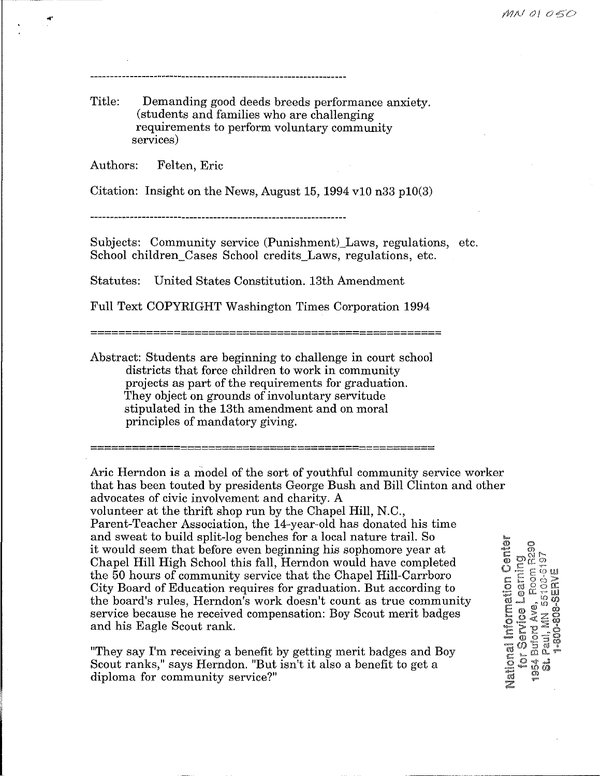Title: Demanding good deeds breeds performance anxiety. (students and families who are challenging requirements to perform voluntary community services)

Authors: Felten, Eric

Citation: Insight on the News, August 15, 1994 v10 n33 p10(3)

Subjects: Community service (Punishment) Laws, regulations, etc. School children Cases School credits Laws, regulations, etc.

Statutes: United States Constitution. 13th Amendment

Full Text COPYRIGHT Washington Times Corporation 1994

===================================================

Abstract: Students are beginning to challenge in court school districts that force children to work in community projects as part of the requirements for graduation. They object on grounds of involuntary servitude stipulated in the 13th amendment and on moral principles of mandatory giving.

==================================================

Aric Herndon is a model of the sort of youthful community service worker that has been touted by presidents George Bush and Bill Clinton and other advocates of civic involvement and charity. A volunteer at the thrift shop run by the Chapel Hill, N.C., Parent-Teacher Association, the 14-year-old has donated his time and sweat to build split-log benches for a local nature trail. So it would seem that before even beginning his sophomore year at Chapel Hill High School this fall, Herndon would have completed the 50 hours of community service that the Chapel Hill-Carrboro City Board of Education requires for graduation. But according to the board's rules, Herndon's work doesn't count as true community service because he received compensation: Boy Scout merit badges and his Eagle Scout rank.

"They say I'm receiving a benefit by getting merit badges and Boy Scout ranks," says Herndon. "But isn't it also a benefit to get a diploma for community service?"

Mailonal Information Center Service Learning<br>Inford Ave. Room R290 Buford Ave, Room R2<br>Paul, MN 55108-6197<br>1-800-808-SERVE Buiord Ave, Paul, MN  $\frac{1}{2}$ 1954  $\hat{u}$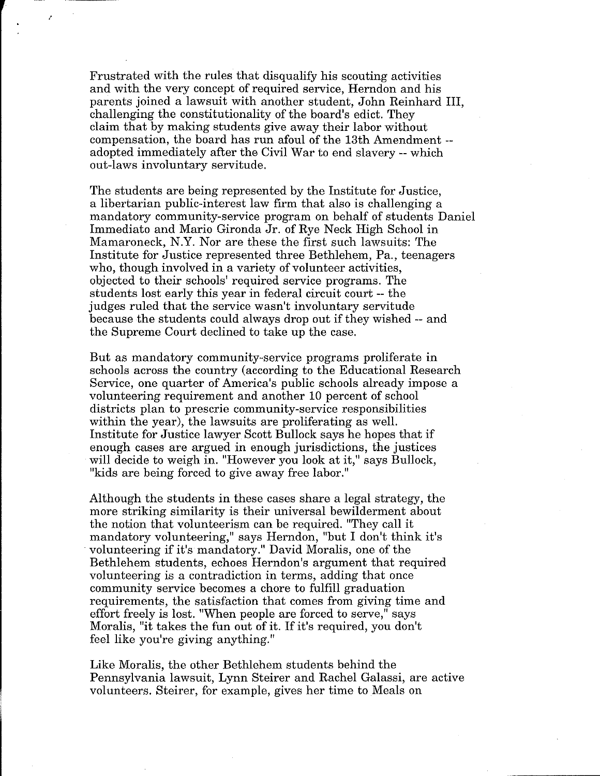Frustrated with the rules that disqualify his scouting activities and with the very concept of required service, Herndon and his parents joined a lawsuit with another student, John Reinhard III, challenging the constitutionality of the board's edict. They claim that by making students give away their labor without compensation, the board has run afoul of the 13th Amendment - adopted immediately after the Civil War to end slavery-- which out-laws involuntary servitude.

--- ---···------

*!* 

The students are being represented by the Institute for Justice, a libertarian public-interest law firm that also is challenging a mandatory community-service program on behalf of students Daniel Immediato and Mario Gironda Jr. of Rye Neck High School in Mamaroneck, N.Y. Nor are these the first such lawsuits: The Institute for Justice represented three Bethlehem, Pa., teenagers who, though involved in a variety of volunteer activities, objected to their schools' required service programs. The students lost early this year in federal circuit court -- the judges ruled that the service wasn't involuntary servitude because the students could always drop out if they wished-- and the Supreme Court declined to take up the case.

But as mandatory community-service programs proliferate in schools across the country (according to the Educational Research Service, one quarter of America's public schools already impose a volunteering requirement and another 10 percent of school districts plan to prescrie community-service responsibilities within the year), the lawsuits are proliferating as well. Institute for Justice lawyer Scott Bullock says he hopes that if enough cases are argued in enough jurisdictions, the justices will decide to weigh in. "However you look at it," says Bullock, "kids are being forced to give away free labor."

Although the students in these cases share a legal strategy, the more striking similarity is their universal bewilderment about the notion that volunteerism can be required. "They call it mandatory volunteering," says Herndon, "but I don't think it's volunteering if it's mandatory." David Moralis, one of the Bethlehem students, echoes Herndon's argument that required volunteering is a contradiction in terms, adding that once community service becomes a chore to fulfill graduation requirements, the satisfaction that comes from giving time and effort freely is lost. "When people are forced to serve," says Moralis, "it takes the fun out of it. If it's required, you don't feel like you're giving anything."

Like Moralis, the other Bethlehem students behind the Pennsylvania lawsuit, Lynn Steirer and Rachel Galassi, are active volunteers. Steirer, for example, gives her time to Meals on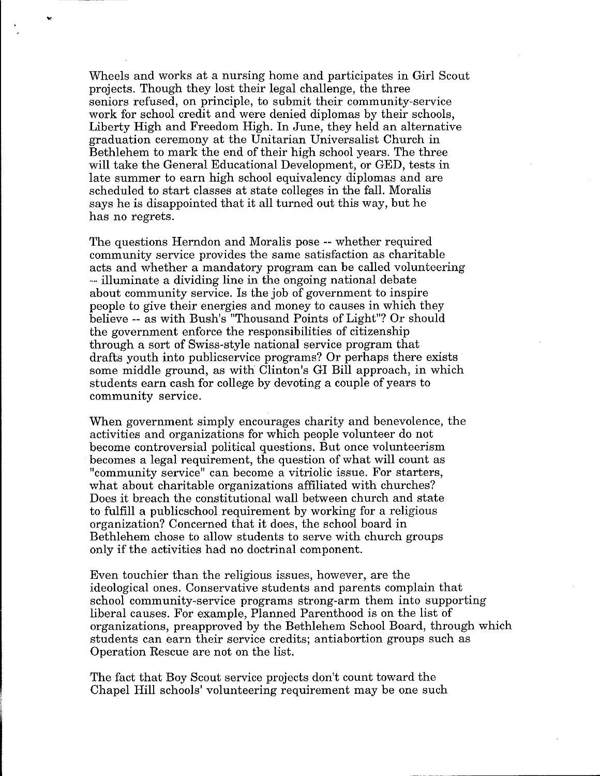Wheels and works at a nursing home and participates in Girl Scout projects. Though they lost their legal challenge, the three seniors refused, on principle, to submit their community-service work for school credit and were denied diplomas by their schools, Liberty High and Freedom High. In June, they held an alternative graduation ceremony at the Unitarian Universalist Church in Bethlehem to mark the end of their high school years. The three will take the General Educational Development, or GED, tests in late summer to earn high school equivalency diplomas and are scheduled to start classes at state colleges in the fall. Moralis says he is disappointed that it all turned out this way, but he has no regrets.

...

The questions Herndon and Moralis pose -- whether required community service provides the same satisfaction as charitable acts and whether a mandatory program can be called volunteering -- illuminate a dividing line in the ongoing national debate about community service. Is the job of government to inspire people to give their energies and money to causes in which they believe -- as with Bush's "Thousand Points of Light"? Or should the government enforce the responsibilities of citizenship through a sort of Swiss-style national service program that drafts youth into publicservice programs? Or perhaps there exists some middle ground, as with Clinton's GI Bill approach, in which students earn cash for college by devoting a couple of years to community service.

When government simply encourages charity and benevolence, the activities and organizations for which people volunteer do not become controversial political questions. But once volunteerism becomes a legal requirement, the question of what will count as "community service" can become a vitriolic issue. For starters, what about charitable organizations affiliated with churches? Does it breach the constitutional wall between church and state to fulfill a publicschool requirement by working for a religious organization? Concerned that it does, the school board in Bethlehem chose to allow students to serve with church groups only if the activities had no doctrinal component.

Even touchier than the religious issues, however, are the ideological ones. Conservative students and parents complain that school community-service programs strong-arm them into supporting liberal causes. For example, Planned Parenthood is on the list of organizations, preapproved by the Bethlehem School Board, through which students can earn their service credits; antiabortion groups such as Operation Rescue are not on the list.

The fact that Boy Scout service projects don't count toward the Chapel Hill schools' volunteering requirement may be one such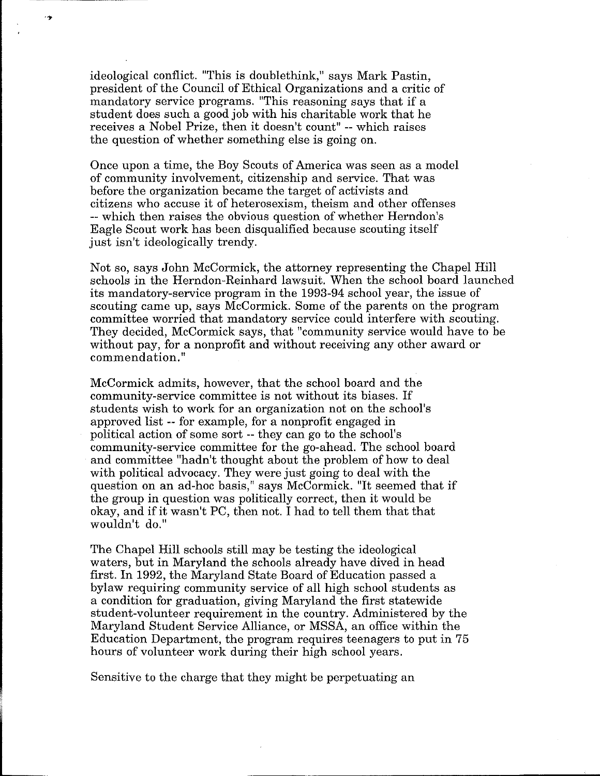ideological conflict. "This is doublethink," says Mark Pastin, president of the Council of Ethical Organizations and a critic of mandatory service programs. "This reasoning says that if a student does such a good job with his charitable work that he receives a Nobel Prize, then it doesn't count" -- which raises the question of whether something else is going on.

- 19

Once upon a time, the Boy Scouts of America was seen as a model of community involvement, citizenship and service. That was before the organization became the target of activists and citizens who accuse it of heterosexism, theism and other offenses -- which then raises the obvious question of whether Herndon's Eagle Scout work has been disqualified because scouting itself just isn't ideologically trendy.

Not so, says John McCormick, the attorney representing the Chapel Hill schools in the Herndon-Reinhard lawsuit. When the school board launched its mandatory-service program in the 1993-94 school year, the issue of scouting came up, says McCormick. Some of the parents on the program committee worried that mandatory service could interfere with scouting. They decided, McCormick says, that "community service would have to be without pay, for a nonprofit and without receiving any other award or commendation."

McCormick admits, however, that the school board and the community-service committee is not without its biases. If students wish to work for an organization not on the school's approved list -- for example, for a nonprofit engaged in political action of some sort -- they can go to the school's community-service committee for the go-ahead. The school board and committee "hadn't thought about the problem of how to deal with political advocacy. They were just going to deal with the question on an ad-hoc basis," says McCormick. "It seemed that if the group in question was politically correct, then it would be okay, and if it wasn't PC, then not. I had to tell them that that wouldn't do."

The Chapel Hill schools still may be testing the ideological waters, but in Maryland the schools already have dived in head first. In 1992, the Maryland State Board of Education passed a bylaw requiring community service of all high school students as a condition for graduation, giving Maryland the first statewide student-volunteer requirement in the country. Administered by the Maryland Student Service Alliance, or MSSA, an office within the Education Department, the program requires teenagers to put in 75 hours of volunteer work during their high school years.

Sensitive to the charge that they might be perpetuating an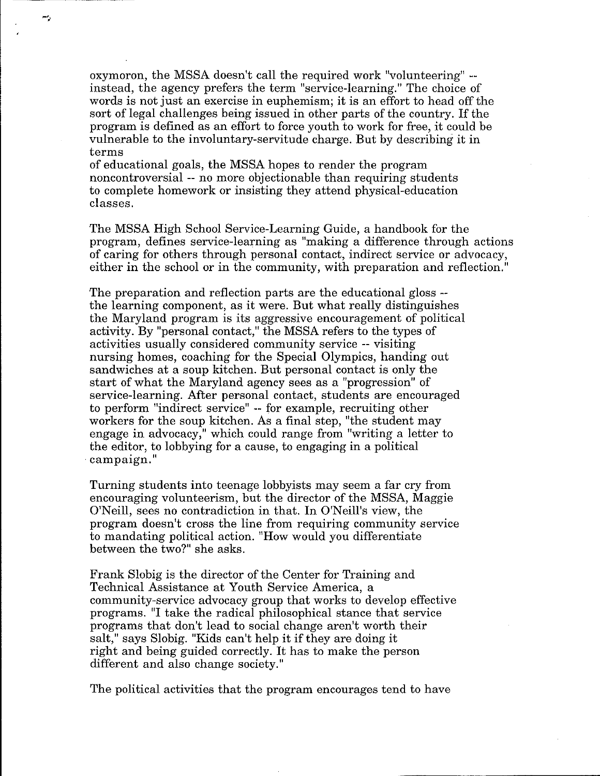oxymoron, the MSSA doesn't call the required work "volunteering" - instead, the agency prefers the term "service-learning." The choice of words is not just an exercise in euphemism; it is an effort to head off the sort of legal challenges being issued in other parts of the country. If the program is defined as an effort to force youth to work for free, it could be vulnerable to the involuntary-servitude charge. But by describing it in terms

of educational goals, the MSSA hopes to render the program noncontroversial -- no more objectionable than requiring students to complete homework or insisting they attend physical-education classes.

m,

The MSSA High School Service-Learning Guide, a handbook for the program, defines service-learning as "making a difference through actions of caring for others through personal contact, indirect service or advocacy, either in the school or in the community, with preparation and reflection."

The preparation and reflection parts are the educational gloss - the learning component, as it were. But what really distinguishes the Maryland program is its aggressive encouragement of political activity. By "personal contact," the MSSA refers to the types of activities usually considered community service -- visiting nursing homes, coaching for the Special Olympics, handing out sandwiches at a soup kitchen. But personal contact is only the start of what the Maryland agency sees as a "progression" of service-learning. After personal contact, students are encouraged to perform "indirect service" -- for example, recruiting other workers for the soup kitchen. As a final step, "the student may engage in advocacy," which could range from "writing a letter to the editor, to lobbying for a cause, to engaging in a political campaign."

Turning students into teenage lobbyists may seem a far cry from encouraging volunteerism, but the director of the MSSA, Maggie O'Neill, sees no contradiction in that. In O'Neill's view, the program doesn't cross the line from requiring community service to mandating political action. "How would you differentiate between the two?" she asks.

Frank Slobig is the director of the Center for Training and Technical Assistance at Youth Service America, a community-service advocacy group that works to develop effective programs. "I take the radical philosophical stance that service programs that don't lead to social change aren't worth their salt," says Slobig. "Kids can't help it if they are doing it right and being guided correctly. It has to make the person different and also change society."

The political activities that the program encourages tend to have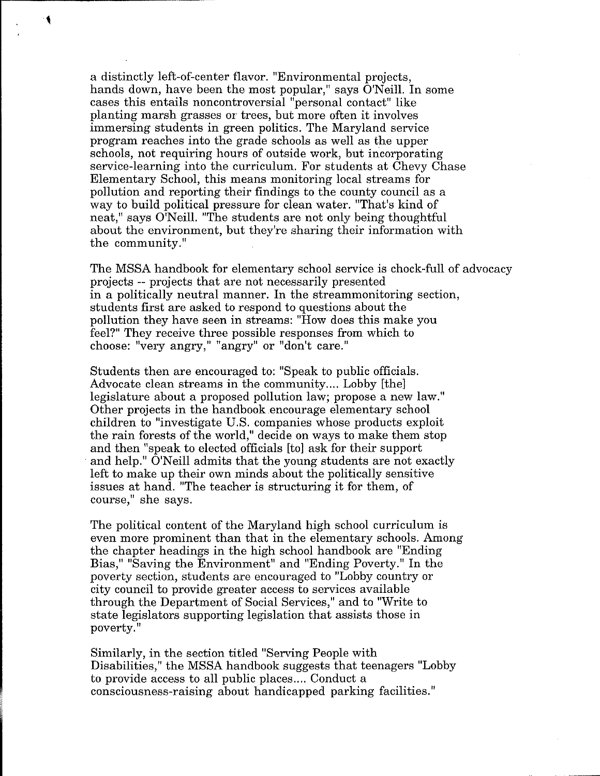a distinctly left-of-center flavor. "Environmental projects, hands down, have been the most popular," says O'Neill. In some cases this entails noncontroversial "personal contact" like planting marsh grasses or trees, but more often it involves immersing students in green politics. The Maryland service program reaches into the grade schools as well as the upper schools, not requiring hours of outside work, but incorporating service-learning into the curriculum. For students at Chevy Chase Elementary School, this means monitoring local streams for pollution and reporting their findings to the county council as a way to build political pressure for clean water. "That's kind of neat," says O'Neill. "The students are not only being thoughtful about the environment, but they're sharing their information with the community."

 $\cdot$ 

The MSSA handbook for elementary school service is chock-full of advocacy projects -- projects that are not necessarily presented in a politically neutral manner. In the streammonitoring section, students first are asked to respond to questions about the pollution they have seen in streams: "How does this make you feel?" They receive three possible responses from which to choose: "very angry," "angry" or "don't care."

Students then are encouraged to: "Speak to public officials. Advocate clean streams in the community .... Lobby [the) legislature about a proposed pollution law; propose a new law." Other projects in the handbook encourage elementary school children to "investigate U.S. companies whose products exploit the rain forests of the world," decide on ways to make them stop and then "speak to elected officials [to) ask for their support and help." O'Neill admits that the young students are not exactly left to make up their own minds about the politically sensitive issues at hand. "The teacher is structuring it for them, of course," she says.

The political content of the Maryland high school curriculum is even more prominent than that in the elementary schools. Among the chapter headings in the high school handbook are "Ending Bias," "Saving the Environment" and "Ending Poverty." In the poverty section, students are encouraged to "Lobby country or city council to provide greater access to services available through the Department of Social Services," and to "Write to state legislators supporting legislation that assists those in poverty."

Similarly, in the section titled "Serving People with Disabilities," the MSSA handbook suggests that teenagers "Lobby to provide access to all public places .... Conduct a consciousness-raising about handicapped parking facilities."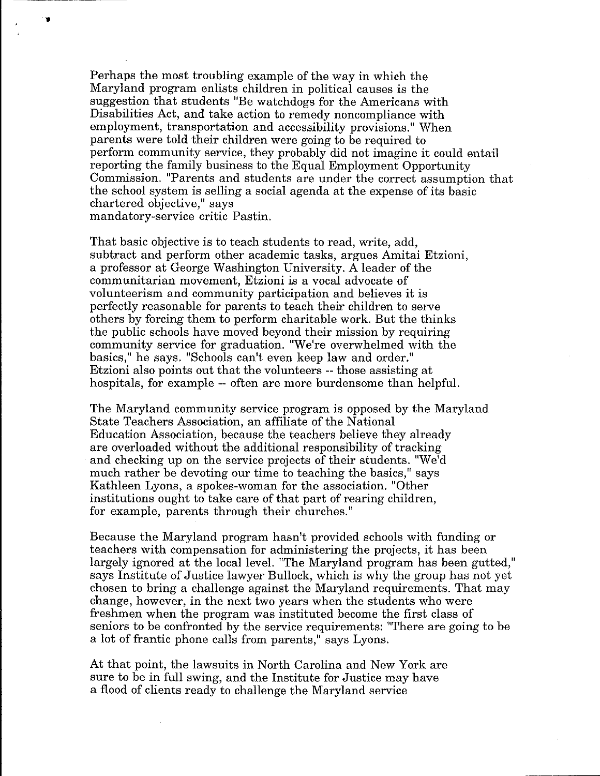Perhaps the most troubling example of the way in which the Maryland program enlists children in political causes is the suggestion that students "Be watchdogs for the Americans with Disabilities Act, and take action to remedy noncompliance with employment, transportation and accessibility provisions." When parents were told their children were going to be required to perform community service, they probably did not imagine it could entail reporting the family business to the Equal Employment Opportunity Commission. "Parents and students are under the correct assumption that the school system is selling a social agenda at the expense of its basic chartered objective," says mandatory-service critic Pastin.

"

That basic objective is to teach students to read, write, add, subtract and perform other academic tasks, argues Amitai Etzioni, a professor at George Washington University. A leader of the communitarian movement, Etzioni is a vocal advocate of volunteerism and community participation and believes it is perfectly reasonable for parents to teach their children to serve others by forcing them to perform charitable work. But the thinks the public schools have moved beyond their mission by requiring community service for graduation. "We're overwhelmed with the basics," he says. "Schools can't even keep law and order." Etzioni also points out that the volunteers -- those assisting at hospitals, for example -- often are more burdensome than helpful.

The Maryland community service program is opposed by the Maryland State Teachers Association, an affiliate of the National Education Association, because the teachers believe they already are overloaded without the additional responsibility of tracking and checking up on the service projects of their students. "We'd much rather be devoting our time to teaching the basics," says Kathleen Lyons, a spokes-woman for the association. "Other institutions ought to take care of that part of rearing children, for example, parents through their churches."

Because the Maryland program hasn't provided schools with funding or teachers with compensation for administering the projects, it has been largely ignored at the local level. "The Maryland program has been gutted," says Institute of Justice lawyer Bullock, which is why the group has not yet chosen to bring a challenge against the Maryland requirements. That may change, however, in the next two years when the students who were freshmen when the program was instituted become the first class of seniors to be confronted by the service requirements: "There are going to be a lot of frantic phone calls from parents," says Lyons.

At that point, the lawsuits in North Carolina and New York are sure to be in full swing, and the Institute for Justice may have a flood of clients ready to challenge the Maryland service